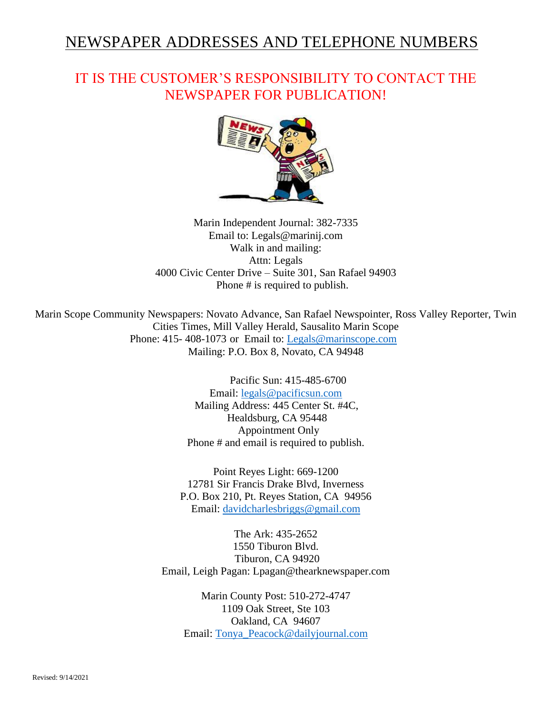# NEWSPAPER ADDRESSES AND TELEPHONE NUMBERS

## IT IS THE CUSTOMER'S RESPONSIBILITY TO CONTACT THE NEWSPAPER FOR PUBLICATION!



Marin Independent Journal: 382-7335 Email to: Legals@marinij.com Walk in and mailing: Attn: Legals 4000 Civic Center Drive – Suite 301, San Rafael 94903 Phone # is required to publish.

Marin Scope Community Newspapers: Novato Advance, San Rafael Newspointer, Ross Valley Reporter, Twin Cities Times, Mill Valley Herald, Sausalito Marin Scope Phone: 415- 408-1073 or Email to: [Legals@marinscope.com](mailto:Legals@marinscope.com) Mailing: P.O. Box 8, Novato, CA 94948

> Pacific Sun: 415-485-6700 Email: [legals@pacificsun.com](mailto:legals@pacificsun.com) Mailing Address: 445 Center St. #4C, Healdsburg, CA 95448 Appointment Only Phone # and email is required to publish.

Point Reyes Light: 669-1200 12781 Sir Francis Drake Blvd, Inverness P.O. Box 210, Pt. Reyes Station, CA 94956 Email: [davidcharlesbriggs@gmail.com](mailto:davidcharlesbriggs@gmail.com)

The Ark: 435-2652 1550 Tiburon Blvd. Tiburon, CA 94920 Email, Leigh Pagan: Lpagan@thearknewspaper.com

Marin County Post: 510-272-4747 1109 Oak Street, Ste 103 Oakland, CA 94607 Email: [Tonya\\_Peacock@dailyjournal.com](mailto:Tonya_Peacock@dailyjournal.com)